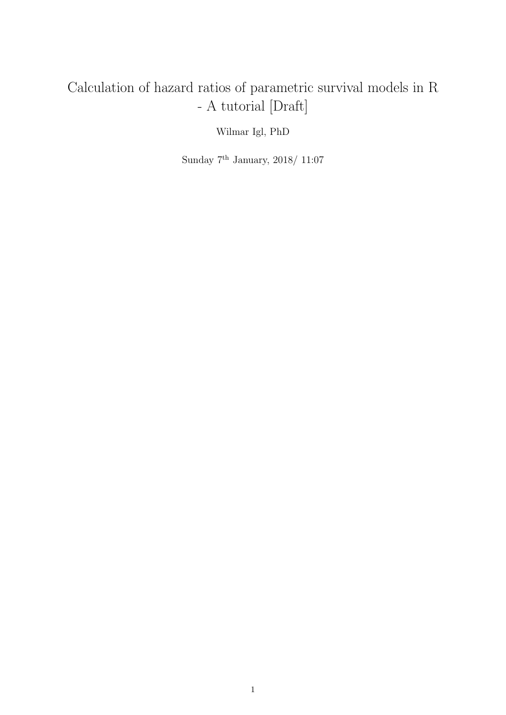# Calculation of hazard ratios of parametric survival models in R - A tutorial [Draft]

Wilmar Igl, PhD

Sunday $7^{\rm th}$  January, 2018/ 11:07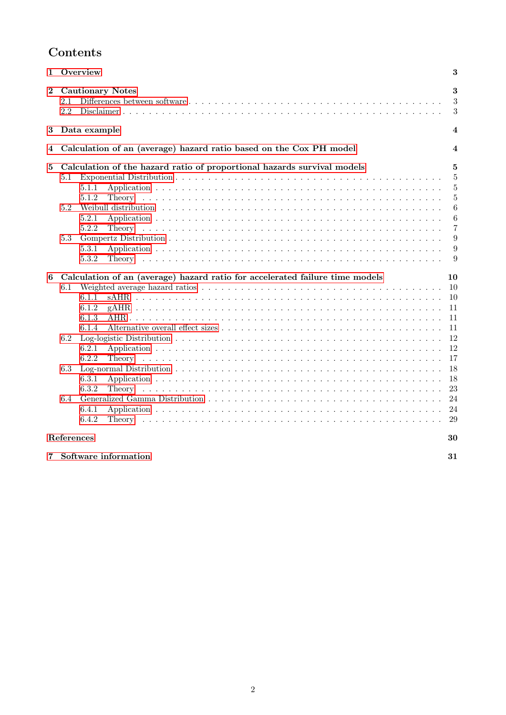# Contents

| 1        | Overview<br>3                                                                                                                                                                                                |                                                                                                   |  |  |  |
|----------|--------------------------------------------------------------------------------------------------------------------------------------------------------------------------------------------------------------|---------------------------------------------------------------------------------------------------|--|--|--|
| $\bf{2}$ | <b>Cautionary Notes</b><br>2.1<br>2.2                                                                                                                                                                        | 3<br>3<br>$\boldsymbol{3}$                                                                        |  |  |  |
| $\bf{3}$ | Data example<br>4                                                                                                                                                                                            |                                                                                                   |  |  |  |
| 4        | Calculation of an (average) hazard ratio based on the Cox PH model<br>$\overline{\bf{4}}$                                                                                                                    |                                                                                                   |  |  |  |
| 5        | Calculation of the hazard ratio of proportional hazards survival models<br>5.1<br>5.1.1<br>5.1.2<br>5.2<br>5.2.1<br>5.2.2<br>5.3<br>5.3.1<br>5.3.2                                                           | 5<br>5<br>5<br>$\overline{5}$<br>6<br>6<br>$\overline{7}$<br>9<br>9<br>9                          |  |  |  |
| 6        | Calculation of an (average) hazard ratio for accelerated failure time models<br>6.1<br>6.1.1<br>6.1.2<br>6.1.3<br>6.1.4<br>6.2<br>6.2.1<br>6.2.2<br>Theory<br>6.3<br>6.3.1<br>6.3.2<br>6.4<br>6.4.1<br>6.4.2 | 10<br><sup>10</sup><br>10<br>11<br>11<br>11<br>12<br>12<br>17<br>18<br>18<br>23<br>24<br>24<br>29 |  |  |  |
|          | References<br>30                                                                                                                                                                                             |                                                                                                   |  |  |  |

|  | 7 Software information |  |
|--|------------------------|--|
|--|------------------------|--|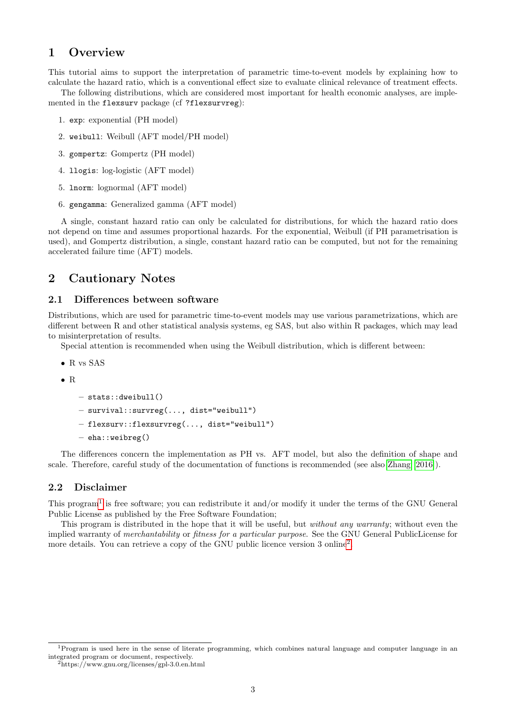# <span id="page-2-0"></span>1 Overview

This tutorial aims to support the interpretation of parametric time-to-event models by explaining how to calculate the hazard ratio, which is a conventional effect size to evaluate clinical relevance of treatment effects. The following distributions, which are considered most important for health economic analyses, are imple-

mented in the flexsurv package (cf ?flexsurvreg):

- 1. exp: exponential (PH model)
- 2. weibull: Weibull (AFT model/PH model)
- 3. gompertz: Gompertz (PH model)
- 4. llogis: log-logistic (AFT model)
- 5. lnorm: lognormal (AFT model)
- 6. gengamma: Generalized gamma (AFT model)

A single, constant hazard ratio can only be calculated for distributions, for which the hazard ratio does not depend on time and assumes proportional hazards. For the exponential, Weibull (if PH parametrisation is used), and Gompertz distribution, a single, constant hazard ratio can be computed, but not for the remaining accelerated failure time (AFT) models.

# <span id="page-2-1"></span>2 Cautionary Notes

#### <span id="page-2-2"></span>2.1 Differences between software

Distributions, which are used for parametric time-to-event models may use various parametrizations, which are different between R and other statistical analysis systems, eg SAS, but also within R packages, which may lead to misinterpretation of results.

Special attention is recommended when using the Weibull distribution, which is different between:

- R vs SAS
- R

```
– stats::dweibull()
```
- survival::survreg(..., dist="weibull")
- flexsurv::flexsurvreg(..., dist="weibull")
- eha::weibreg()

The differences concern the implementation as PH vs. AFT model, but also the definition of shape and scale. Therefore, careful study of the documentation of functions is recommended (see also [Zhang \[2016\]](#page-29-1)).

#### <span id="page-2-3"></span>2.2 Disclaimer

This program<sup>[1](#page-2-4)</sup> is free software; you can redistribute it and/or modify it under the terms of the GNU General Public License as published by the Free Software Foundation;

This program is distributed in the hope that it will be useful, but without any warranty; without even the implied warranty of merchantability or fitness for a particular purpose. See the GNU General PublicLicense for more details. You can retrieve a copy of the GNU public licence version 3 online<sup>[2](#page-2-5)</sup>.

<span id="page-2-4"></span><sup>1</sup>Program is used here in the sense of literate programming, which combines natural language and computer language in an integrated program or document, respectively.

<span id="page-2-5"></span><sup>2</sup>https://www.gnu.org/licenses/gpl-3.0.en.html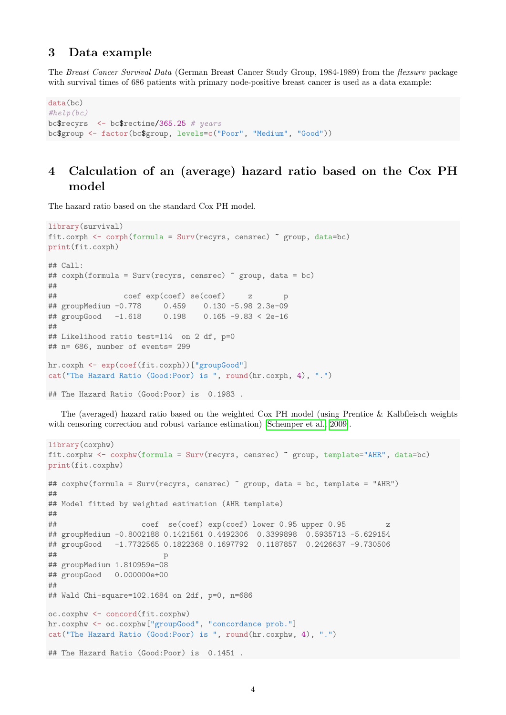# <span id="page-3-0"></span>3 Data example

The Breast Cancer Survival Data (German Breast Cancer Study Group, 1984-1989) from the flexsurv package with survival times of 686 patients with primary node-positive breast cancer is used as a data example:

```
data(bc)
#help(bc)
bc$recyrs <- bc$rectime/365.25 # years
bc$group <- factor(bc$group, levels=c("Poor", "Medium", "Good"))
```
# <span id="page-3-1"></span>4 Calculation of an (average) hazard ratio based on the Cox PH model

The hazard ratio based on the standard Cox PH model.

```
library(survival)
fit.coxph <- coxph(formula = Surv(recyrs, censrec) ~ group, data=bc)
print(fit.coxph)
## Call:
## coxph(formula = Surv(recyrs, censrec) ~ group, data = bc)
##
## coef exp(coef) se(coef) z p
## groupMedium -0.778 0.459 0.130 -5.98 2.3e-09
## groupGood -1.618 0.198 0.165 -9.83 < 2e-16
##
## Likelihood ratio test=114 on 2 df, p=0
## n= 686, number of events= 299
hr.coxph <- exp(coef(fit.coxph))["groupGood"]
cat("The Hazard Ratio (Good:Poor) is ", round(hr.coxph, 4), ".")
## The Hazard Ratio (Good:Poor) is 0.1983 .
```
with censoring correction and robust variance estimation) [\[Schemper et al., 2009\]](#page-29-2).

The (averaged) hazard ratio based on the weighted Cox PH model (using Prentice & Kalbfleisch weights

```
library(coxphw)
fit.coxphw <- coxphw(formula = Surv(recyrs, censrec) ~ group, template="AHR", data=bc)
print(fit.coxphw)
## coxphw(formula = Surv(recyrs, censrec) ~ group, data = bc, template = "AHR")
##
## Model fitted by weighted estimation (AHR template)
##
## coef se(coef) exp(coef) lower 0.95 upper 0.95 z
## groupMedium -0.8002188 0.1421561 0.4492306 0.3399898 0.5935713 -5.629154
## groupGood -1.7732565 0.1822368 0.1697792 0.1187857 0.2426637 -9.730506
## p
## groupMedium 1.810959e-08
## groupGood 0.000000e+00
##
## Wald Chi-square=102.1684 on 2df, p=0, n=686
oc.coxphw <- concord(fit.coxphw)
hr.coxphw <- oc.coxphw["groupGood", "concordance prob."]
cat("The Hazard Ratio (Good:Poor) is ", round(hr.coxphw, 4), ".")
## The Hazard Ratio (Good:Poor) is 0.1451 .
```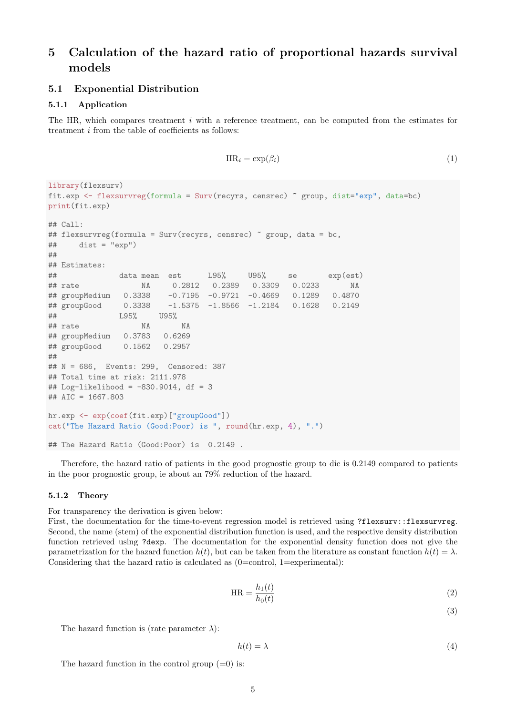# <span id="page-4-0"></span>5 Calculation of the hazard ratio of proportional hazards survival models

#### <span id="page-4-1"></span>5.1 Exponential Distribution

#### <span id="page-4-2"></span>5.1.1 Application

The HR, which compares treatment i with a reference treatment, can be computed from the estimates for treatment i from the table of coefficients as follows:

$$
\text{HR}_i = \exp(\beta_i) \tag{1}
$$

```
library(flexsurv)
fit.exp <- flexsurvreg(formula = Surv(recyrs, censrec) ~ group, dist="exp", data=bc)
print(fit.exp)
## Call:
## flexsurvreg(formula = Surv(recyrs, censrec) ~ group, data = bc,
\# dist = "exp")
##
## Estimates:
## data mean est L95% U95% se exp(est)
## rate NA 0.2812 0.2389 0.3309 0.0233 NA
## groupMedium 0.3338 -0.7195 -0.9721 -0.4669 0.1289 0.4870
## groupGood 0.3338 -1.5375 -1.8566 -1.2184 0.1628 0.2149
## L95% U95%
## rate NA NA
## groupMedium 0.3783 0.6269
## groupGood 0.1562 0.2957
##
## N = 686, Events: 299, Censored: 387
## Total time at risk: 2111.978
## Log-likelihood = -830.9014, df = 3
## AIC = 1667.803
hr.exp <- exp(coef(fit.exp)["groupGood"])
cat("The Hazard Ratio (Good:Poor) is ", round(hr.exp, 4), ".")
## The Hazard Ratio (Good:Poor) is 0.2149 .
```
Therefore, the hazard ratio of patients in the good prognostic group to die is 0.2149 compared to patients in the poor prognostic group, ie about an 79% reduction of the hazard.

#### <span id="page-4-3"></span>5.1.2 Theory

For transparency the derivation is given below:

First, the documentation for the time-to-event regression model is retrieved using ?flexsurv::flexsurvreg. Second, the name (stem) of the exponential distribution function is used, and the respective density distribution function retrieved using ?dexp. The documentation for the exponential density function does not give the parametrization for the hazard function  $h(t)$ , but can be taken from the literature as constant function  $h(t) = \lambda$ . Considering that the hazard ratio is calculated as  $(0=control, 1=experimental)$ :

$$
HR = \frac{h_1(t)}{h_0(t)}\tag{2}
$$

(3)

The hazard function is (rate parameter  $\lambda$ ):

$$
h(t) = \lambda \tag{4}
$$

The hazard function in the control group  $(=0)$  is: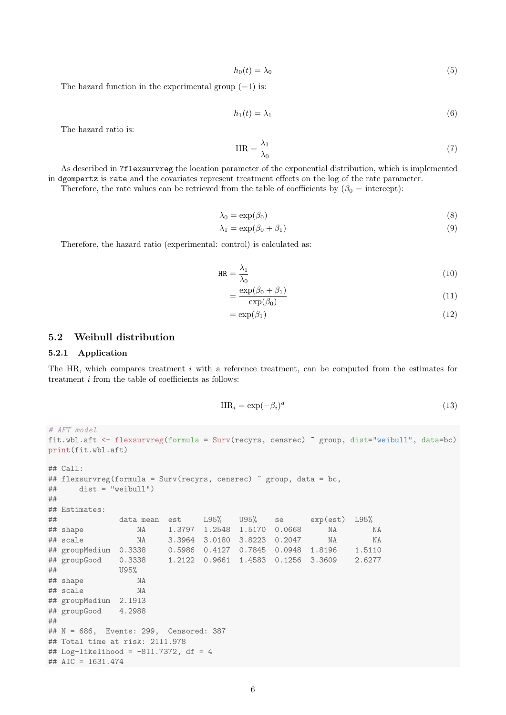$$
h_0(t) = \lambda_0 \tag{5}
$$

The hazard function in the experimental group  $(=1)$  is:

$$
h_1(t) = \lambda_1 \tag{6}
$$

The hazard ratio is:

$$
HR = \frac{\lambda_1}{\lambda_0} \tag{7}
$$

As described in ?flexsurvreg the location parameter of the exponential distribution, which is implemented in dgompertz is rate and the covariates represent treatment effects on the log of the rate parameter.

Therefore, the rate values can be retrieved from the table of coefficients by  $(\beta_0 = \text{intercept})$ :

$$
\lambda_0 = \exp(\beta_0) \tag{8}
$$

$$
\lambda_1 = \exp(\beta_0 + \beta_1) \tag{9}
$$

Therefore, the hazard ratio (experimental: control) is calculated as:

$$
HR = \frac{\lambda_1}{\lambda_0} \tag{10}
$$

$$
=\frac{\exp(\beta_0+\beta_1)}{\exp(\beta_0)}\tag{11}
$$

$$
=\exp(\beta_1)\tag{12}
$$

#### <span id="page-5-0"></span>5.2 Weibull distribution

#### <span id="page-5-1"></span>5.2.1 Application

The HR, which compares treatment i with a reference treatment, can be computed from the estimates for treatment i from the table of coefficients as follows:

$$
HR_i = \exp(-\beta_i)^a \tag{13}
$$

```
# AFT model
fit.wbl.aft <- flexsurvreg(formula = Surv(recyrs, censrec) ~ group, dist="weibull", data=bc)
print(fit.wbl.aft)
## Call:
## flexsurvreg(formula = Surv(recyrs, censrec) ~ group, data = bc,
## dist = "weibull")
##
## Estimates:
## data mean est L95% U95% se exp(est) L95%
## shape NA 1.3797 1.2548 1.5170 0.0668 NA NA
## scale NA 3.3964 3.0180 3.8223 0.2047 NA NA
## groupMedium 0.3338 0.5986 0.4127 0.7845 0.0948 1.8196 1.5110
## groupGood 0.3338 1.2122 0.9661 1.4583 0.1256 3.3609 2.6277
## U95%
## shape NA
## scale NA
## groupMedium 2.1913
## groupGood 4.2988
##
## N = 686, Events: 299, Censored: 387
## Total time at risk: 2111.978
## Log-likelihood = -811.7372, df = 4
## AIC = 1631.474
```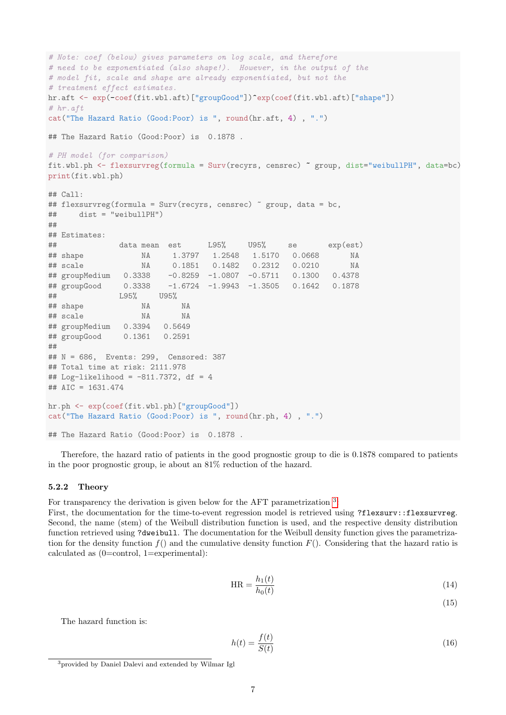```
# Note: coef (below) gives parameters on log scale, and therefore
# need to be exponentiated (also shape!). However, in the output of the
# model fit, scale and shape are already exponentiated, but not the
# treatment effect estimates.
hr.aft <- exp(-coef(fit.wbl.aft)["groupGood"])^exp(coef(fit.wbl.aft)["shape"])
# hr.aft
cat("The Hazard Ratio (Good:Poor) is ", round(hr.aft, 4) , ".")
## The Hazard Ratio (Good:Poor) is 0.1878 .
# PH model (for comparison)
fit.wbl.ph <- flexsurvreg(formula = Surv(recyrs, censrec) ~ group, dist="weibullPH", data=bc)
print(fit.wbl.ph)
## C_{2}11 \cdot## flexsurvreg(formula = Surv(recyrs, censrec) \degree group, data = bc,
## dist = "weibullPH")
##
## Estimates:
## data mean est L95% U95% se exp(est)
## shape NA 1.3797 1.2548 1.5170 0.0668 NA
## scale NA 0.1851 0.1482 0.2312 0.0210 NA
## groupMedium 0.3338 -0.8259 -1.0807 -0.5711 0.1300 0.4378
## groupGood 0.3338 -1.6724 -1.9943 -1.3505 0.1642 0.1878
## L95% U95%
## shape NA NA
## scale NA NA
## groupMedium 0.3394 0.5649
## groupGood 0.1361 0.2591
##
## N = 686, Events: 299, Censored: 387
## Total time at risk: 2111.978
## Log-likelihood = -811.7372, df = 4
## AIC = 1631.474
hr.ph <- exp(coef(fit.wbl.ph)["groupGood"])
cat("The Hazard Ratio (Good:Poor) is ", round(hr.ph, 4) , ".")
## The Hazard Ratio (Good:Poor) is 0.1878 .
```
Therefore, the hazard ratio of patients in the good prognostic group to die is 0.1878 compared to patients in the poor prognostic group, ie about an 81% reduction of the hazard.

#### <span id="page-6-0"></span>5.2.2 Theory

For transparency the derivation is given below for the AFT parametrization  $3$ :

First, the documentation for the time-to-event regression model is retrieved using ?flexsurv::flexsurvreg. Second, the name (stem) of the Weibull distribution function is used, and the respective density distribution function retrieved using ?dweibull. The documentation for the Weibull density function gives the parametrization for the density function  $f()$  and the cumulative density function  $F()$ . Considering that the hazard ratio is calculated as (0=control, 1=experimental):

$$
HR = \frac{h_1(t)}{h_0(t)}\tag{14}
$$

(15)

The hazard function is:

$$
h(t) = \frac{f(t)}{S(t)}\tag{16}
$$

<span id="page-6-1"></span><sup>3</sup>provided by Daniel Dalevi and extended by Wilmar Igl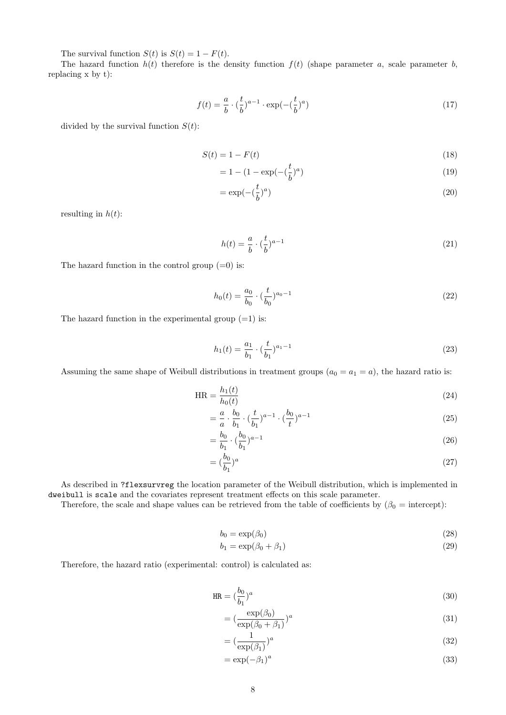The survival function  $S(t)$  is  $S(t) = 1 - F(t)$ .

The hazard function  $h(t)$  therefore is the density function  $f(t)$  (shape parameter a, scale parameter b, replacing x by t):

$$
f(t) = \frac{a}{b} \cdot \left(\frac{t}{b}\right)^{a-1} \cdot \exp\left(-\left(\frac{t}{b}\right)^a\right) \tag{17}
$$

divided by the survival function  $S(t)$ :

$$
S(t) = 1 - F(t) \tag{18}
$$

$$
= 1 - (1 - \exp(-(\frac{t}{b})^a))
$$
\n(19)

$$
=\exp(-\left(\frac{t}{b}\right)^a)
$$
\n(20)

resulting in  $h(t)$ :

$$
h(t) = \frac{a}{b} \cdot \left(\frac{t}{b}\right)^{a-1} \tag{21}
$$

The hazard function in the control group  $(=0)$  is:

$$
h_0(t) = \frac{a_0}{b_0} \cdot \left(\frac{t}{b_0}\right)^{a_0 - 1} \tag{22}
$$

The hazard function in the experimental group  $(=1)$  is:

$$
h_1(t) = \frac{a_1}{b_1} \cdot \left(\frac{t}{b_1}\right)^{a_1 - 1} \tag{23}
$$

Assuming the same shape of Weibull distributions in treatment groups  $(a_0 = a_1 = a)$ , the hazard ratio is:

$$
HR = \frac{h_1(t)}{h_0(t)}\tag{24}
$$

$$
= \frac{a}{a} \cdot \frac{b_0}{b_1} \cdot (\frac{t}{b_1})^{a-1} \cdot (\frac{b_0}{t})^{a-1}
$$
\n(25)

$$
=\frac{b_0}{b_1}\cdot(\frac{b_0}{b_1})^{a-1}\tag{26}
$$

$$
= \left(\frac{b_0}{b_1}\right)^a \tag{27}
$$

As described in ?flexsurvreg the location parameter of the Weibull distribution, which is implemented in dweibull is scale and the covariates represent treatment effects on this scale parameter.

Therefore, the scale and shape values can be retrieved from the table of coefficients by  $(\beta_0 = \text{intercept})$ :

$$
b_0 = \exp(\beta_0) \tag{28}
$$

$$
b_1 = \exp(\beta_0 + \beta_1) \tag{29}
$$

Therefore, the hazard ratio (experimental: control) is calculated as:

$$
\text{HR} = \left(\frac{b_0}{b_1}\right)^a \tag{30}
$$

$$
= \left(\frac{\exp(\beta_0)}{\exp(\beta_0 + \beta_1)}\right)^a \tag{31}
$$

$$
= \left(\frac{1}{\exp(\beta_1)}\right)^a \tag{32}
$$

$$
=\exp(-\beta_1)^a\tag{33}
$$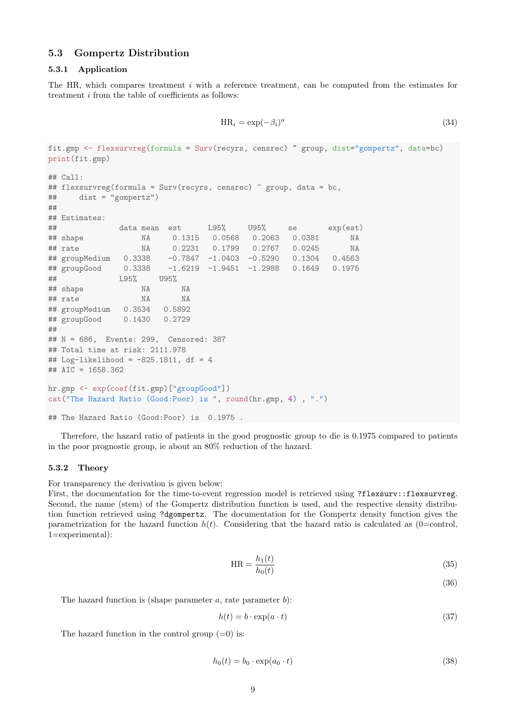### <span id="page-8-0"></span>5.3 Gompertz Distribution

#### <span id="page-8-1"></span>5.3.1 Application

The HR, which compares treatment i with a reference treatment, can be computed from the estimates for treatment i from the table of coefficients as follows:

$$
HR_i = \exp(-\beta_i)^a \tag{34}
$$

```
fit.gmp <- flexsurvreg(formula = Surv(recyrs, censrec) ~ group, dist="gompertz", data=bc)
print(fit.gmp)
## Call:
## flexsurvreg(formula = Surv(recyrs, censrec) \degree group, data = bc,
## dist = "gompertz")
##
## Estimates:
## data mean est L95% U95% se exp(est)
## shape NA 0.1315 0.0568 0.2063 0.0381 NA
## rate NA 0.2231 0.1799 0.2767 0.0245 NA
## groupMedium 0.3338 -0.7847 -1.0403 -0.5290 0.1304 0.4563
## groupGood 0.3338 -1.6219 -1.9451 -1.2988 0.1649 0.1975
## L95% U95%
## shape NA NA
## rate NA NA
## groupMedium 0.3534 0.5892
## groupGood 0.1430 0.2729
##
## N = 686, Events: 299, Censored: 387
## Total time at risk: 2111.978
## Log-likelihood = -825.1811, df = 4
## AIC = 1658.362
hr.gmp <- exp(coef(fit.gmp)["groupGood"])
cat("The Hazard Ratio (Good:Poor) is ", round(hr.gmp, 4) , ".")
## The Hazard Ratio (Good:Poor) is 0.1975 .
```
Therefore, the hazard ratio of patients in the good prognostic group to die is 0.1975 compared to patients in the poor prognostic group, ie about an 80% reduction of the hazard.

#### <span id="page-8-2"></span>5.3.2 Theory

For transparency the derivation is given below:

First, the documentation for the time-to-event regression model is retrieved using ?flexsurv::flexsurvreg. Second, the name (stem) of the Gompertz distribution function is used, and the respective density distribution function retrieved using ?dgompertz. The documentation for the Gompertz density function gives the parametrization for the hazard function  $h(t)$ . Considering that the hazard ratio is calculated as (0=control, 1=experimental):

$$
HR = \frac{h_1(t)}{h_0(t)}\tag{35}
$$

(36)

The hazard function is (shape parameter  $a$ , rate parameter  $b$ ):

$$
h(t) = b \cdot \exp(a \cdot t) \tag{37}
$$

The hazard function in the control group  $(=0)$  is:

$$
h_0(t) = b_0 \cdot \exp(a_0 \cdot t) \tag{38}
$$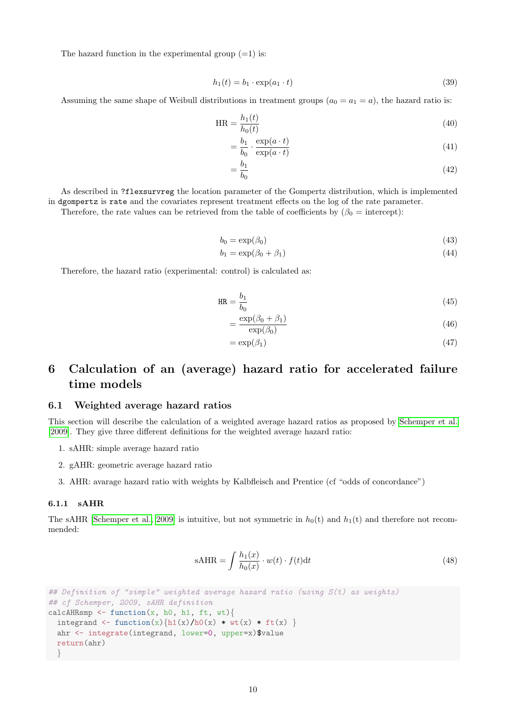The hazard function in the experimental group  $(=1)$  is:

$$
h_1(t) = b_1 \cdot \exp(a_1 \cdot t) \tag{39}
$$

Assuming the same shape of Weibull distributions in treatment groups  $(a_0 = a_1 = a)$ , the hazard ratio is:

$$
HR = \frac{h_1(t)}{h_0(t)}\tag{40}
$$

$$
= \frac{b_1}{b_0} \cdot \frac{\exp(a \cdot t)}{\exp(a \cdot t)}\tag{41}
$$

$$
=\frac{b_1}{b_0}\tag{42}
$$

As described in ?flexsurvreg the location parameter of the Gompertz distribution, which is implemented in dgompertz is rate and the covariates represent treatment effects on the log of the rate parameter.

Therefore, the rate values can be retrieved from the table of coefficients by  $(\beta_0 = \text{intercept})$ :

$$
b_0 = \exp(\beta_0) \tag{43}
$$

$$
b_1 = \exp(\beta_0 + \beta_1) \tag{44}
$$

Therefore, the hazard ratio (experimental: control) is calculated as:

$$
HR = \frac{b_1}{b_0} \tag{45}
$$

$$
=\frac{\exp(\beta_0+\beta_1)}{\exp(\beta_0)}\tag{46}
$$

$$
=\exp(\beta_1)\tag{47}
$$

# <span id="page-9-0"></span>6 Calculation of an (average) hazard ratio for accelerated failure time models

#### <span id="page-9-1"></span>6.1 Weighted average hazard ratios

This section will describe the calculation of a weighted average hazard ratios as proposed by [Schemper et al.](#page-29-2) [\[2009\]](#page-29-2). They give three different definitions for the weighted average hazard ratio:

- 1. sAHR: simple average hazard ratio
- 2. gAHR: geometric average hazard ratio
- 3. AHR: avarage hazard ratio with weights by Kalbfleisch and Prentice (cf "odds of concordance")

#### <span id="page-9-2"></span>6.1.1 sAHR

The sAHR [\[Schemper et al., 2009\]](#page-29-2) is intuitive, but not symmetric in  $h_0(t)$  and  $h_1(t)$  and therefore not recommended:

$$
sAHR = \int \frac{h_1(x)}{h_0(x)} \cdot w(t) \cdot f(t) dt
$$
\n(48)

```
## Definition of "simple" weighted average hazard ratio (using S(t) as weights)
## cf Schemper, 2009, sAHR definition
calcAHRsmp \leq function(x, h0, h1, ft, wt){
  integrand <- function(x){h1(x)/h0(x) * wt(x) * ft(x) }
 ahr <- integrate(integrand, lower=0, upper=x)$value
  return(ahr)
  }
```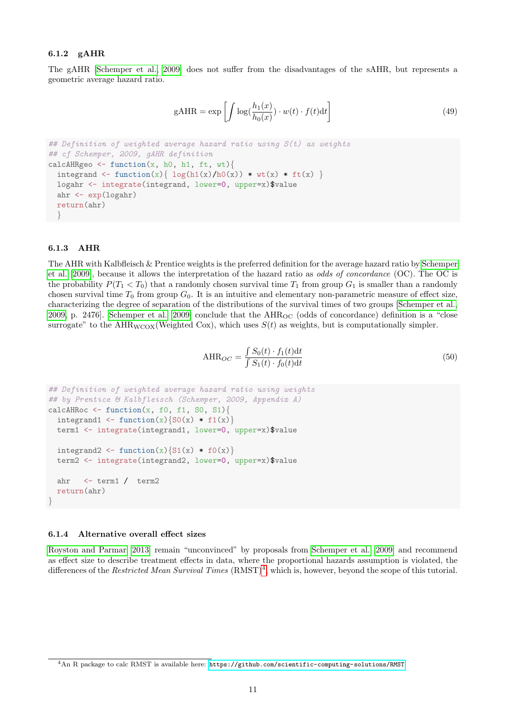#### <span id="page-10-0"></span>6.1.2 gAHR

The gAHR [\[Schemper et al., 2009\]](#page-29-2) does not suffer from the disadvantages of the sAHR, but represents a geometric average hazard ratio.

$$
gAHR = \exp\left[\int \log(\frac{h_1(x)}{h_0(x)}) \cdot w(t) \cdot f(t) dt\right]
$$
\n(49)

```
# Definition of weighted average hazard ratio using S(t) as weights
## cf Schemper, 2009, gAHR definition
calcAHRgeo \leq function(x, h0, h1, ft, wt){
  integrand \leq function(x){ log(h1(x)/h0(x)) * wt(x) * ft(x) }
 logahr <- integrate(integrand, lower=0, upper=x)$value
  ahr <- exp(logahr)
 return(ahr)
  }
```
#### <span id="page-10-1"></span>6.1.3 AHR

The AHR with Kalbfleisch & Prentice weights is the preferred definition for the average hazard ratio by [Schemper](#page-29-2) [et al. \[2009\]](#page-29-2), because it allows the interpretation of the hazard ratio as odds of concordance (OC). The OC is the probability  $P(T_1 < T_0)$  that a randomly chosen survival time  $T_1$  from group  $G_1$  is smaller than a randomly chosen survival time  $T_0$  from group  $G_0$ . It is an intuitive and elementary non-parametric measure of effect size, characterizing the degree of separation of the distributions of the survival times of two groups [\[Schemper et al.,](#page-29-2) [2009,](#page-29-2) p. 2476. [Schemper et al. \[2009\]](#page-29-2) conclude that the AHR<sub>OC</sub> (odds of concordance) definition is a "close surrogate" to the AHR<sub>WCOX</sub>(Weighted Cox), which uses  $S(t)$  as weights, but is computationally simpler.

$$
\text{AHR}_{OC} = \frac{\int S_0(t) \cdot f_1(t) \, \text{d}t}{\int S_1(t) \cdot f_0(t) \, \text{d}t} \tag{50}
$$

```
## Definition of weighted average hazard ratio using weights
## by Prentice & Kalbfleisch (Schemper, 2009, Appendix A)
calcAHRoc \leq function(x, f0, f1, S0, S1){
 integrand1 <- function(x){S0(x) * f1(x)}
 term1 <- integrate(integrand1, lower=0, upper=x)$value
  integrand2 \leftarrow function(x){S1(x) * f0(x)}
  term2 <- integrate(integrand2, lower=0, upper=x)$value
  ahr <- term1 / term2
  return(ahr)
}
```
#### <span id="page-10-2"></span>6.1.4 Alternative overall effect sizes

[Royston and Parmar \[2013\]](#page-29-3) remain "unconvinced" by proposals from [Schemper et al. \[2009\]](#page-29-2) and recommend as effect size to describe treatment effects in data, where the proportional hazards assumption is violated, the differences of the Restricted Mean Survival Times  $(RMST)^4$  $(RMST)^4$ , which is, however, beyond the scope of this tutorial.

<span id="page-10-3"></span><sup>4</sup>An R package to calc RMST is available here: <https://github.com/scientific-computing-solutions/RMST>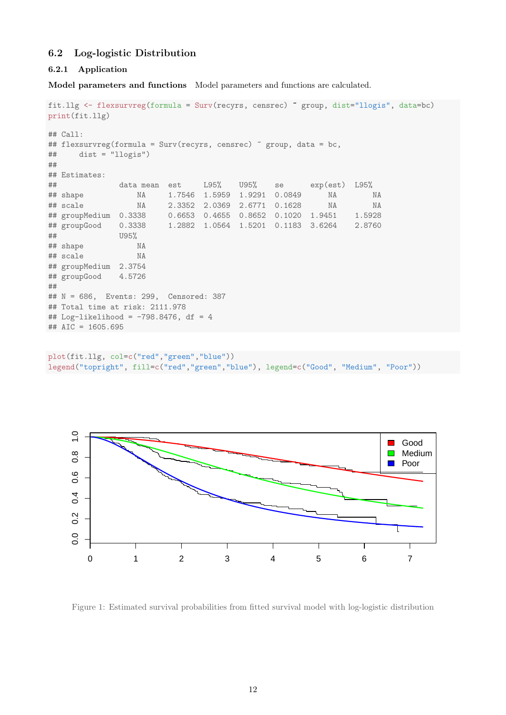# <span id="page-11-0"></span>6.2 Log-logistic Distribution

#### <span id="page-11-1"></span>6.2.1 Application

Model parameters and functions Model parameters and functions are calculated.

```
fit.llg <- flexsurvreg(formula = Surv(recyrs, censrec) ~ group, dist="llogis", data=bc)
print(fit.llg)
## Call:
## flexsurvreg(formula = Surv(recyrs, censrec) ~ group, data = bc,
\## dist = "llogis")
##
## Estimates:
## data mean est L95% U95% se exp(est) L95%
## shape NA 1.7546 1.5959 1.9291 0.0849 NA NA
## scale NA 2.3352 2.0369 2.6771 0.1628 NA NA
## groupMedium 0.3338 0.6653 0.4655 0.8652 0.1020 1.9451 1.5928
## groupGood 0.3338 1.2882 1.0564 1.5201 0.1183 3.6264 2.8760
## U95%
## shape NA
## scale NA
## groupMedium 2.3754
## groupGood 4.5726
##
## N = 686, Events: 299, Censored: 387
## Total time at risk: 2111.978
## Log-likelihood = -798.8476, df = 4
## AIC = 1605.695
```

```
plot(fit.llg, col=c("red","green","blue"))
legend("topright", fill=c("red","green","blue"), legend=c("Good", "Medium", "Poor"))
```


Figure 1: Estimated survival probabilities from fitted survival model with log-logistic distribution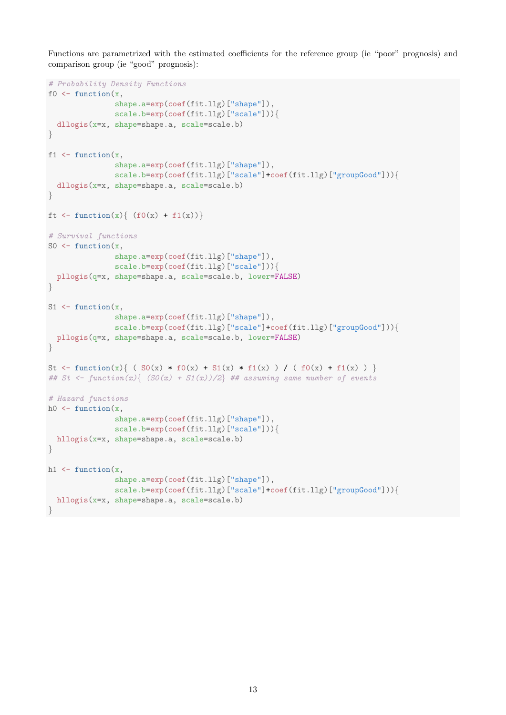Functions are parametrized with the estimated coefficients for the reference group (ie "poor" prognosis) and comparison group (ie "good" prognosis):

```
# Probability Density Functions
f0 \leftarrow function(x,shape.a=exp(coef(fit.llg)["shape"]),
                scale.b=exp(coef(fit.llg)["scale"])){
  dllogis(x=x, shape=shape.a, scale=scale.b)
}
f1 \leftarrow function(x,shape.a=exp(coef(fit.llg)["shape"]),
                scale.b=exp(coef(fit.llg)["scale"]+coef(fit.llg)["groupGood"])){
  dllogis(x=x, shape=shape.a, scale=scale.b)
}
ft \leftarrow function(x){ (f0(x) + f1(x))}
# Survival functions
S0 \leftarrow function(x,shape.a=exp(coef(fit.llg)["shape"]),
                scale.b=exp(coef(fit.llg)["scale"])){
  pllogis(q=x, shape=shape.a, scale=scale.b, lower=FALSE)
}
S1 \leftarrow function(x,shape.a=exp(coef(fit.llg)["shape"]),
                scale.b=exp(coef(fit.llg)["scale"]+coef(fit.llg)["groupGood"])){
  pllogis(q=x, shape=shape.a, scale=scale.b, lower=FALSE)
}
St <- function(x){ ( S0(x) * f0(x) + S1(x) * f1(x) ) / ( f0(x) + f1(x) ) }
## St <- function(x){ (SO(x) + S1(x))/2} ## assuming same number of events
# Hazard functions
h0 \leftarrow function(x,
                shape.a=exp(coef(fit.llg)["shape"]),
                scale.b=exp(coef(fit.llg)["scale"])){
 hllogis(x=x, shape=shape.a, scale=scale.b)
}
h1 \leftarrow function(x,shape.a=exp(coef(fit.llg)["shape"]),
                scale.b=exp(coef(fit.llg)["scale"]+coef(fit.llg)["groupGood"])){
  hllogis(x=x, shape=shape.a, scale=scale.b)
}
```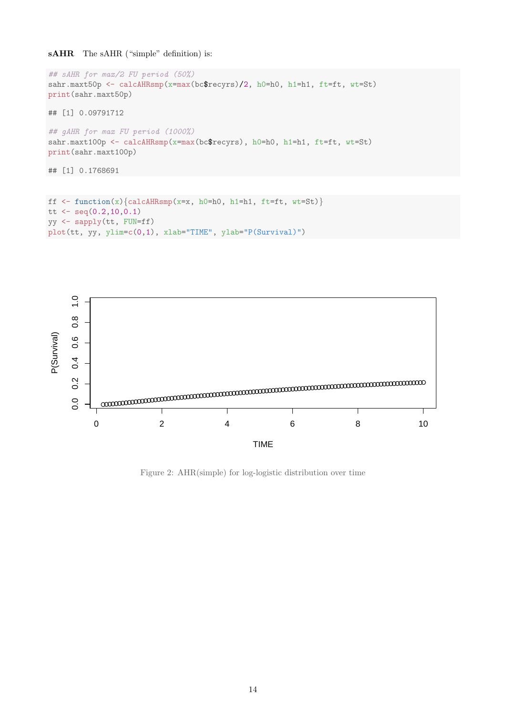sAHR The sAHR ("simple" definition) is:

```
## sAHR for max/2 FU period (50%)
sahr.maxt50p <- calcAHRsmp(x=max(bc$recyrs)/2, h0=h0, h1=h1, ft=ft, wt=St)
print(sahr.maxt50p)
## [1] 0.09791712
## gAHR for max FU period (1000%)
sahr.maxt100p <- calcAHRsmp(x=max(bc$recyrs), h0=h0, h1=h1, ft=ft, wt=St)
print(sahr.maxt100p)
## [1] 0.1768691
```

```
ff \leftarrow function(x) {calcAHRsmp(x=x, h0=h0, h1=h1, ft=ft, wt=St)}
tt \leq seq(0.2, 10, 0.1)yy <- sapply(tt, FUN=ff)
plot(tt, yy, ylim=c(0,1), xlab="TIME", ylab="P(Survival)")
```


Figure 2: AHR(simple) for log-logistic distribution over time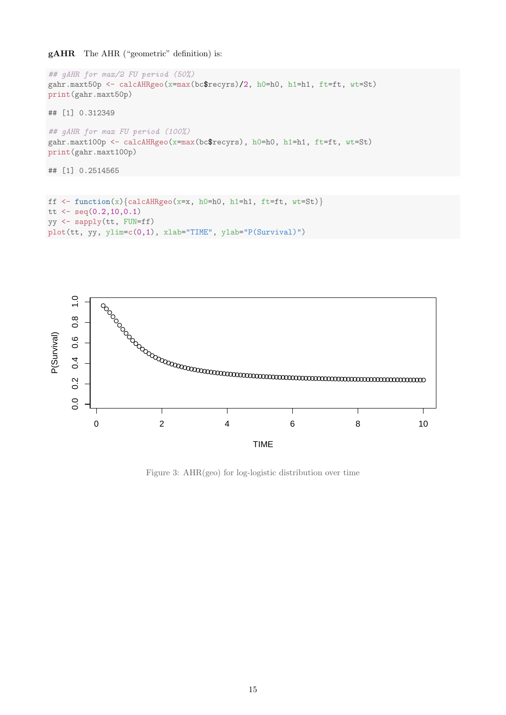### gAHR The AHR ("geometric" definition) is:

```
## gAHR for max/2 FU period (50%)
gahr.maxt50p <- calcAHRgeo(x=max(bc$recyrs)/2, h0=h0, h1=h1, ft=ft, wt=St)
print(gahr.maxt50p)
## [1] 0.312349
## gAHR for max FU period (100%)
gahr.maxt100p <- calcAHRgeo(x=max(bc$recyrs), h0=h0, h1=h1, ft=ft, wt=St)
print(gahr.maxt100p)
## [1] 0.2514565
```

```
ff \leftarrow function(x) {calcAHRgeo(x=x, h0=h0, h1=h1, ft=ft, wt=St)}
tt \leq seq(0.2, 10, 0.1)yy <- sapply(tt, FUN=ff)
plot(tt, yy, ylim=c(0,1), xlab="TIME", ylab="P(Survival)")
```


Figure 3: AHR(geo) for log-logistic distribution over time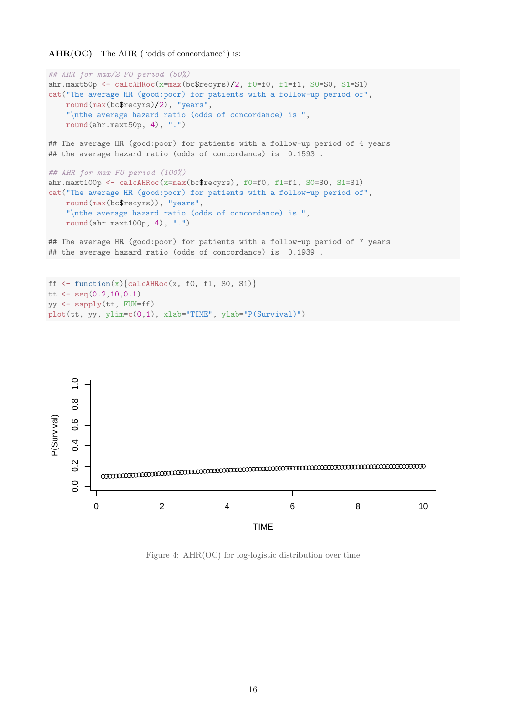```
AHR(OC) The AHR ("odds of concordance") is:
```

```
## AHR for max/2 FU period (50%)
ahr.maxt50p <- calcAHRoc(x=max(bc$recyrs)/2, f0=f0, f1=f1, S0=S0, S1=S1)
cat("The average HR (good:poor) for patients with a follow-up period of",
    round(max(bc$recyrs)/2), "years",
    "\nthe average hazard ratio (odds of concordance) is ",
    round(ahr.maxt50p, 4), ".")
## The average HR (good:poor) for patients with a follow-up period of 4 years
## the average hazard ratio (odds of concordance) is 0.1593.
## AHR for max FU period (100%)
ahr.maxt100p <- calcAHRoc(x=max(bc$recyrs), f0=f0, f1=f1, S0=S0, S1=S1)
cat("The average HR (good:poor) for patients with a follow-up period of",
    round(max(bc$recyrs)), "years",
    "\nthe average hazard ratio (odds of concordance) is ",
    round(ahr.maxt100p, 4), ".")
## The average HR (good:poor) for patients with a follow-up period of 7 years
## the average hazard ratio (odds of concordance) is 0.1939 .
```

```
ff \leftarrow function(x) {calcAHRoc(x, f0, f1, S0, S1) }
tt \leq seq(0.2, 10, 0.1)yy <- sapply(tt, FUN=ff)
plot(tt, yy, ylim=c(0,1), xlab="TIME", ylab="P(Survival)")
```


Figure 4: AHR(OC) for log-logistic distribution over time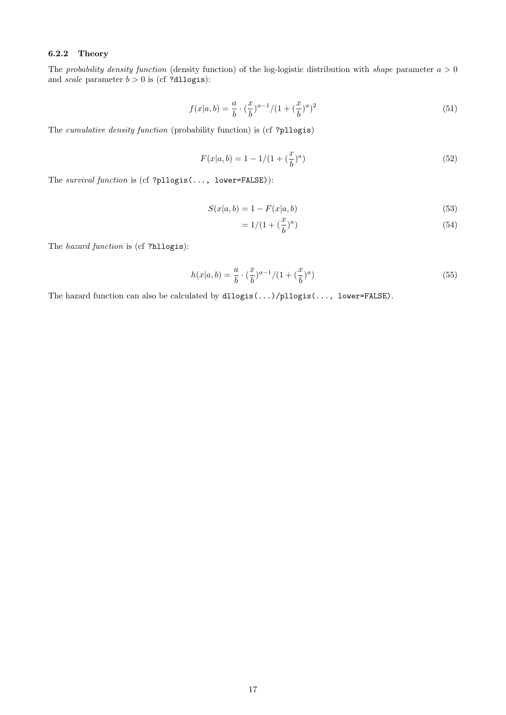### <span id="page-16-0"></span>6.2.2 Theory

The probability density function (density function) of the log-logistic distribution with shape parameter  $a > 0$ and *scale* parameter  $b > 0$  is (cf ?dllogis):

$$
f(x|a,b) = \frac{a}{b} \cdot \left(\frac{x}{b}\right)^{a-1} / (1 + \left(\frac{x}{b}\right)^a)^2
$$
\n(51)

The cumulative density function (probability function) is (cf ?pllogis)

$$
F(x|a, b) = 1 - 1/(1 + (\frac{x}{b})^a)
$$
\n(52)

The survival function is (cf ?pllogis(..., lower=FALSE)):

$$
S(x|a, b) = 1 - F(x|a, b)
$$
\n(53)

$$
= 1/(1 + (\frac{x}{b})^a)
$$
 (54)

The hazard function is (cf ?hllogis):

$$
h(x|a,b) = \frac{a}{b} \cdot \left(\frac{x}{b}\right)^{a-1} / (1 + \left(\frac{x}{b}\right)^a)
$$
\n(55)

The hazard function can also be calculated by dllogis(...)/pllogis(..., lower=FALSE).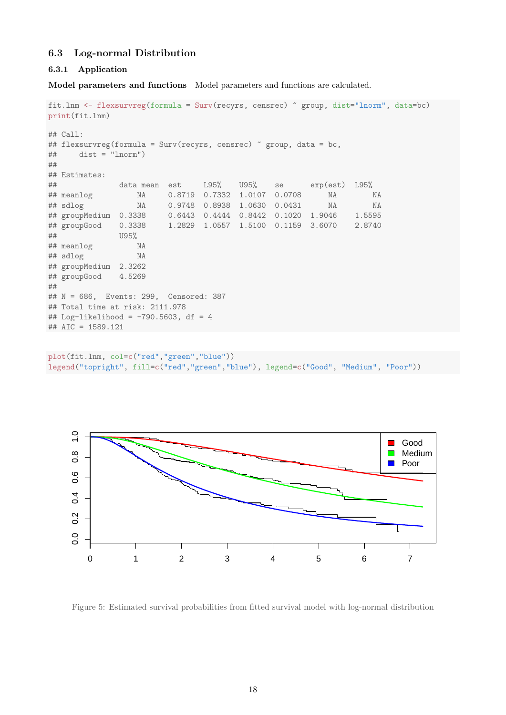# <span id="page-17-0"></span>6.3 Log-normal Distribution

#### <span id="page-17-1"></span>6.3.1 Application

Model parameters and functions Model parameters and functions are calculated.

```
fit.lnm <- flexsurvreg(formula = Surv(recyrs, censrec) ~ group, dist="lnorm", data=bc)
print(fit.lnm)
## Call:
## flexsurvreg(formula = Surv(recyrs, censrec) ~ group, data = bc,
\## dist = "lnorm")
##
## Estimates:
## data mean est L95% U95% se exp(est) L95%
## meanlog NA 0.8719 0.7332 1.0107 0.0708 NA NA
                NA 0.9748 0.8938 1.0630 0.0431 NA NA
## groupMedium 0.3338 0.6443 0.4444 0.8442 0.1020 1.9046 1.5595
## groupGood 0.3338 1.2829 1.0557 1.5100 0.1159 3.6070 2.8740
## U95%
## meanlog NA
## sdlog NA
## groupMedium 2.3262
## groupGood 4.5269
##
## N = 686, Events: 299, Censored: 387
## Total time at risk: 2111.978
## Log-likelihood = -790.5603, df = 4
## AIC = 1589.121
```

```
plot(fit.lnm, col=c("red","green","blue"))
legend("topright", fill=c("red","green","blue"), legend=c("Good", "Medium", "Poor"))
```


Figure 5: Estimated survival probabilities from fitted survival model with log-normal distribution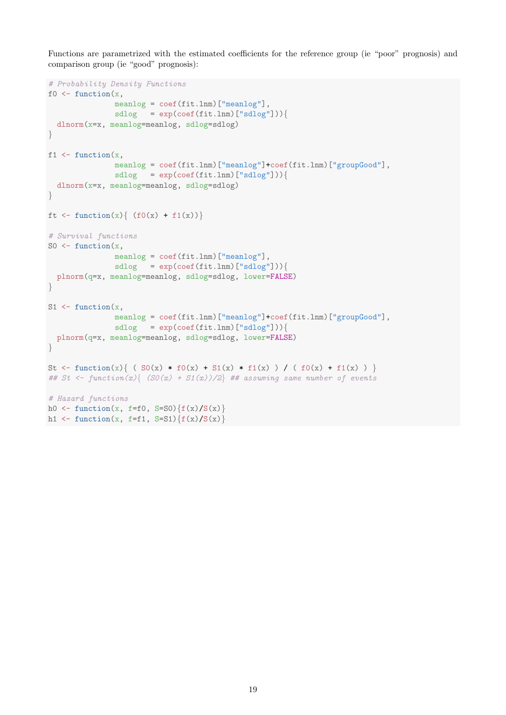Functions are parametrized with the estimated coefficients for the reference group (ie "poor" prognosis) and comparison group (ie "good" prognosis):

```
# Probability Density Functions
f0 \leftarrow function(x,meanlog = coef(fit.lnm)["meanlog"],
               sdlog = exp(coef(fit.lnm)["sdlog"]))dlnorm(x=x, meanlog=meanlog, sdlog=sdlog)
}
f1 \leftarrow function(x,meanlog = coef(fit.lnm)["meanlog"]+coef(fit.lnm)["groupGood"],
               sdlog = exp(coef(fit.lnm)["sdlog"]))dlnorm(x=x, meanlog=meanlog, sdlog=sdlog)
}
ft \leftarrow function(x){ (f0(x) + f1(x))}
# Survival functions
SO \leftarrow function(x,meanlog = coef(fit.lnm)["meanlog"],
               sdlog = exp(coef(fit.lnm)["sdlog"]))plnorm(q=x, meanlog=meanlog, sdlog=sdlog, lower=FALSE)
}
S1 \leftarrow function(x,meanlog = coef(fit.lnm)["meanlog"]+coef(fit.lnm)["groupGood"],
               sdlog = exp(coef(fit.lnm)["sdlog"]))plnorm(q=x, meanlog=meanlog, sdlog=sdlog, lower=FALSE)
}
St <- function(x){ ( S0(x) * f0(x) + S1(x) * f1(x) ) / ( f0(x) + f1(x) ) }
## St <- function(x){ (SO(x) + S1(x))/2} ## assuming same number of events
# Hazard functions
h0 <- function(x, f=f0, S=S0){f(x)/S(x)}
h1 <- function(x, f=f1, S=S1)\{f(x)/S(x)\}
```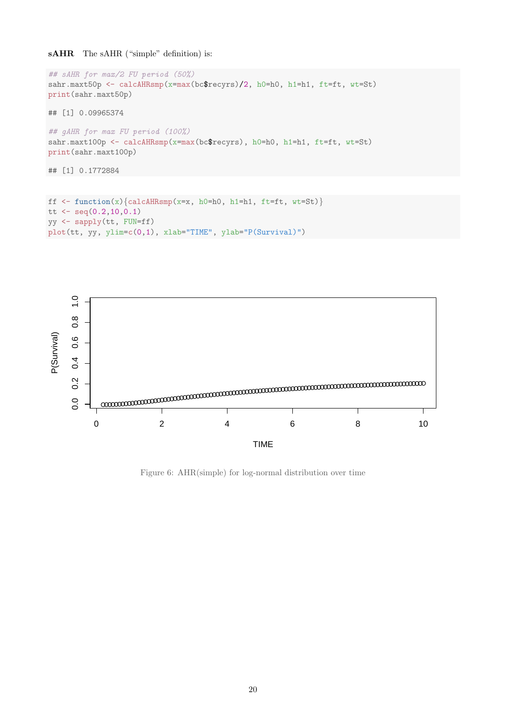sAHR The sAHR ("simple" definition) is:

```
## sAHR for max/2 FU period (50%)
sahr.maxt50p <- calcAHRsmp(x=max(bc$recyrs)/2, h0=h0, h1=h1, ft=ft, wt=St)
print(sahr.maxt50p)
## [1] 0.09965374
## gAHR for max FU period (100%)
sahr.maxt100p <- calcAHRsmp(x=max(bc$recyrs), h0=h0, h1=h1, ft=ft, wt=St)
print(sahr.maxt100p)
## [1] 0.1772884
```

```
ff \leftarrow function(x) {calcAHRsmp(x=x, h0=h0, h1=h1, ft=ft, wt=St)}
tt \leq seq(0.2, 10, 0.1)yy <- sapply(tt, FUN=ff)
plot(tt, yy, ylim=c(0,1), xlab="TIME", ylab="P(Survival)")
```


Figure 6: AHR(simple) for log-normal distribution over time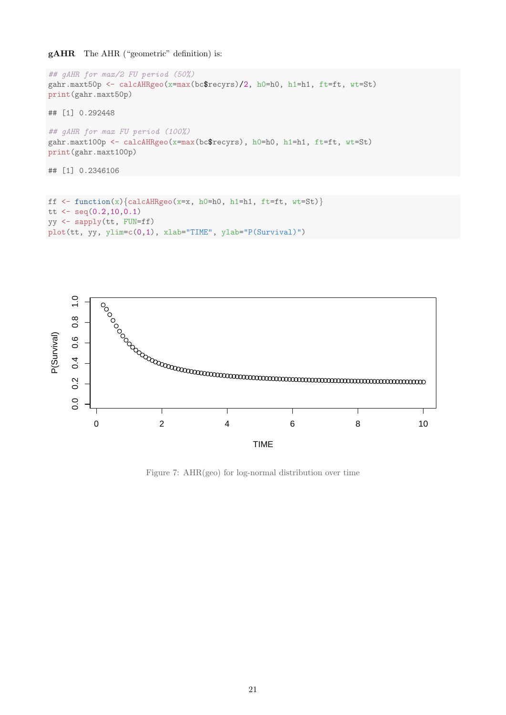### gAHR The AHR ("geometric" definition) is:

```
## gAHR for max/2 FU period (50%)
gahr.maxt50p <- calcAHRgeo(x=max(bc$recyrs)/2, h0=h0, h1=h1, ft=ft, wt=St)
print(gahr.maxt50p)
## [1] 0.292448
## gAHR for max FU period (100%)
gahr.maxt100p <- calcAHRgeo(x=max(bc$recyrs), h0=h0, h1=h1, ft=ft, wt=St)
print(gahr.maxt100p)
## [1] 0.2346106
```

```
ff \leftarrow function(x) {calcAHRgeo(x=x, h0=h0, h1=h1, ft=ft, wt=St)}
tt \leq seq(0.2, 10, 0.1)yy <- sapply(tt, FUN=ff)
plot(tt, yy, ylim=c(0,1), xlab="TIME", ylab="P(Survival)")
```


Figure 7: AHR(geo) for log-normal distribution over time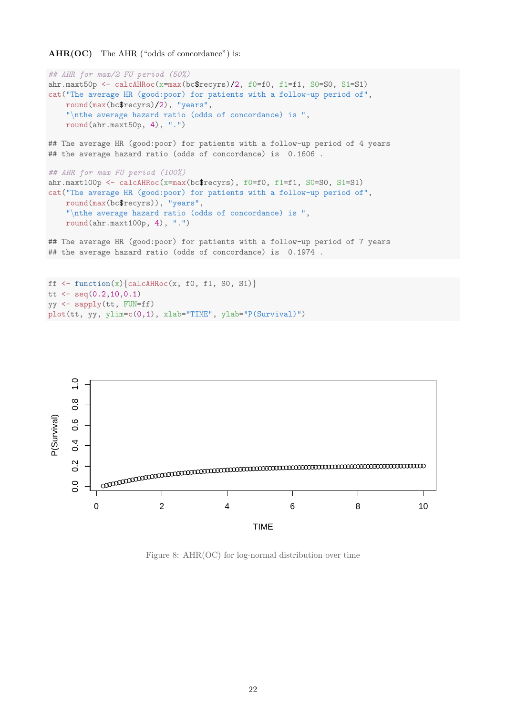```
AHR(OC) The AHR ("odds of concordance") is:
```

```
## AHR for max/2 FU period (50%)
ahr.maxt50p <- calcAHRoc(x=max(bc$recyrs)/2, f0=f0, f1=f1, S0=S0, S1=S1)
cat("The average HR (good:poor) for patients with a follow-up period of",
    round(max(bc$recyrs)/2), "years",
    "\nthe average hazard ratio (odds of concordance) is ",
    round(ahr.maxt50p, 4), ".")
## The average HR (good:poor) for patients with a follow-up period of 4 years
## the average hazard ratio (odds of concordance) is 0.1606.
## AHR for max FU period (100%)
ahr.maxt100p <- calcAHRoc(x=max(bc$recyrs), f0=f0, f1=f1, S0=S0, S1=S1)
cat("The average HR (good:poor) for patients with a follow-up period of",
    round(max(bc$recyrs)), "years",
    "\nthe average hazard ratio (odds of concordance) is ",
    round(ahr.maxt100p, 4), ".")
## The average HR (good:poor) for patients with a follow-up period of 7 years
## the average hazard ratio (odds of concordance) is 0.1974.
ff \leftarrow function(x) {calcAHRoc(x, f0, f1, S0, S1) }
```

```
tt \leq seq(0.2, 10, 0.1)yy <- sapply(tt, FUN=ff)
plot(tt, yy, ylim=c(0,1), xlab="TIME", ylab="P(Survival)")
```


Figure 8: AHR(OC) for log-normal distribution over time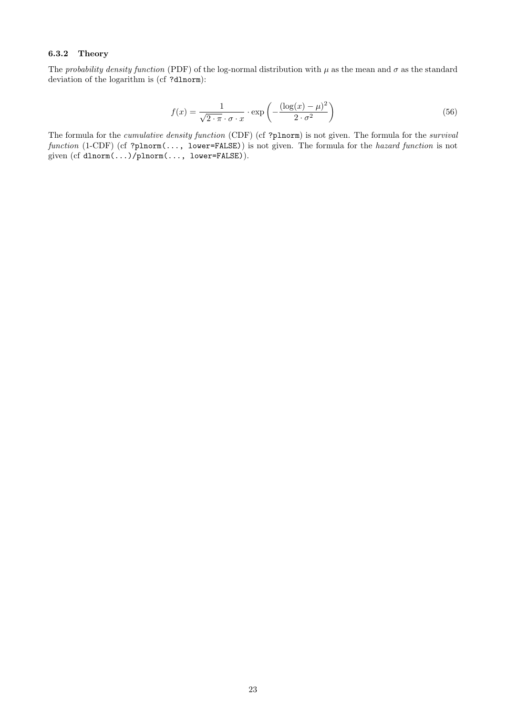### <span id="page-22-0"></span>6.3.2 Theory

The probability density function (PDF) of the log-normal distribution with  $\mu$  as the mean and  $\sigma$  as the standard deviation of the logarithm is (cf ?dlnorm):

$$
f(x) = \frac{1}{\sqrt{2 \cdot \pi} \cdot \sigma \cdot x} \cdot \exp\left(-\frac{(\log(x) - \mu)^2}{2 \cdot \sigma^2}\right)
$$
 (56)

The formula for the *cumulative density function* (CDF) (cf ?plnorm) is not given. The formula for the *survival* function (1-CDF) (cf ?plnorm(..., lower=FALSE)) is not given. The formula for the hazard function is not given (cf dlnorm(...)/plnorm(..., lower=FALSE)).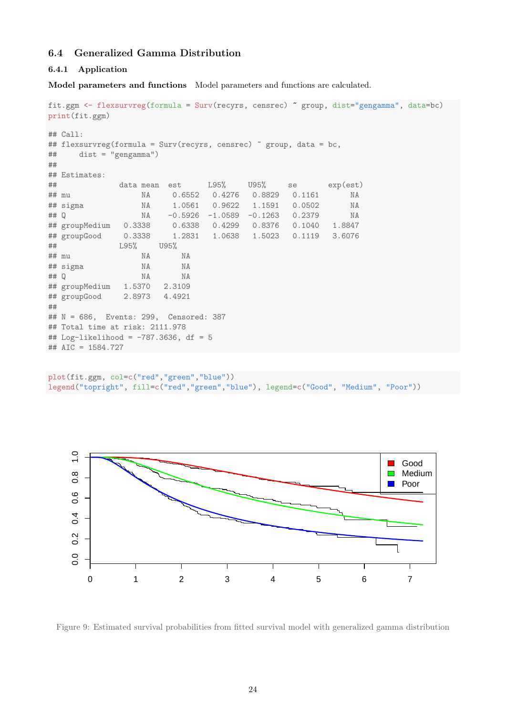### <span id="page-23-0"></span>6.4 Generalized Gamma Distribution

#### <span id="page-23-1"></span>6.4.1 Application

Model parameters and functions Model parameters and functions are calculated.

```
fit.ggm <- flexsurvreg(formula = Surv(recyrs, censrec) ~ group, dist="gengamma", data=bc)
print(fit.ggm)
## Call:
## flexsurvreg(formula = Surv(recyrs, censrec) ~ group, data = bc,
## dist = "gengamma")
##
## Estimates:
## data mean est L95% U95% se exp(est)
## mu NA 0.6552 0.4276 0.8829 0.1161 NA
## sigma NA 1.0561 0.9622 1.1591 0.0502 NA
## Q NA -0.5926 -1.0589 -0.1263 0.2379 NA
## groupMedium 0.3338 0.6338 0.4299 0.8376 0.1040 1.8847
## groupGood 0.3338 1.2831 1.0638 1.5023 0.1119 3.6076
## L95% U95%
## mu NA NA
## sigma NA NA
## Q NA NA
## groupMedium 1.5370 2.3109
## groupGood 2.8973 4.4921
##
## N = 686, Events: 299, Censored: 387
## Total time at risk: 2111.978
## Log-likelihood = -787.3636, df = 5
## AIC = 1584.727
```
plot(fit.ggm, col=c("red","green","blue")) legend("topright", fill=c("red","green","blue"), legend=c("Good", "Medium", "Poor"))



Figure 9: Estimated survival probabilities from fitted survival model with generalized gamma distribution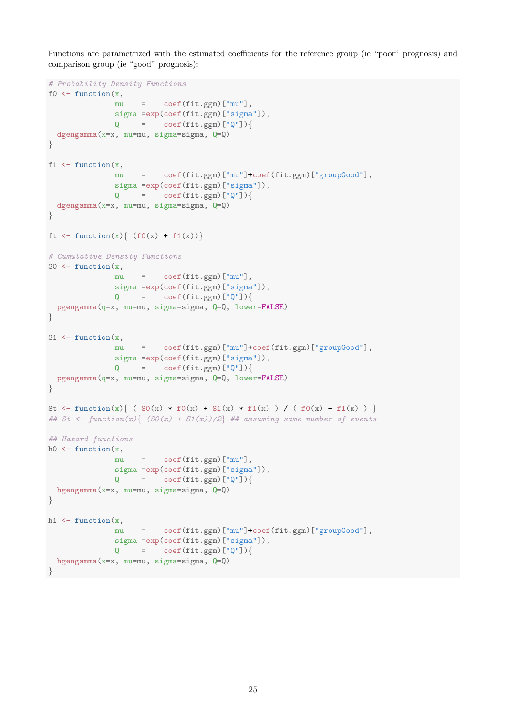Functions are parametrized with the estimated coefficients for the reference group (ie "poor" prognosis) and comparison group (ie "good" prognosis):

```
# Probability Density Functions
f0 \leftarrow function(x,mu = \text{coeff}(fit, \text{ggm})["mu"],
                sigma =exp(coef(fit.ggm)["sigma"]),
                Q = \text{coeff}(\text{fit.}ggm) ["Q"]){
  dgengamma(x=x, mu=mu, sigma=sigma, Q=Q)
}
f1 \leftarrow function(x,mu = coef(fit.ggm)["mu"]+coef(fit.ggm)["groupGood"],
                sigma =exp(coef(fit.ggm)["sigma"]),
                Q = \text{coeff}(\text{fit.}ggm) ["Q"]){
  dgengamma(x=x, mu=mu, sigma=sigma, Q=Q)
}
ft \leftarrow function(x) { (f0(x) + f1(x))}
# Cumulative Density Functions
SO \leftarrow function(x,mu = \text{coeff}(\text{fit.}ggm)["mu"],
                sigma =exp(coef(fit.ggm)["sigma"]),
                Q = \text{coeff}(\text{fit.}ggm) ["Q"]){
  pgengamma(q=x, mu=mu, sigma=sigma, Q=Q, lower=FALSE)
}
S1 \leftarrow function(x,mu = coef(fit.ggm)["mu"]+coef(fit.ggm)["groupGood"],
                sigma =exp(coef(fit.ggm)["sigma"]),
                Q = \text{coeff}(\text{fit.}ggm) ["Q"]) {
  pgengamma(q=x, mu=mu, sigma=sigma, Q=Q, lower=FALSE)
}
St <- function(x){ ( S0(x) * f0(x) + S1(x) * f1(x) ) / ( f0(x) + f1(x) ) }
## St <- function(x) { (SO(x) + S1(x))/2 ## assuming same number of events
## Hazard functions
h0 <- function(x,mu = \text{coeff}(\text{fit.}ggm)["mu"],
                sigma =exp(coef(fit.ggm)["sigma"]),
                Q = \text{coeff}(\text{fit.}ggm) ["Q"]) {
  hgengamma(x=x, mu=mu, sigma=sigma, Q=Q)
}
h1 \leq function(x,mu = coef(fit.ggm)["mu"]+coef(fit.ggm)["groupGood"],
                sigma =exp(coef(fit.ggm)["sigma"]),
                Q = \text{coeff}(\text{fit.}ggm) ["Q"]){
  hgengamma(x=x, mu=mu, sigma=sigma, Q=Q)
}
```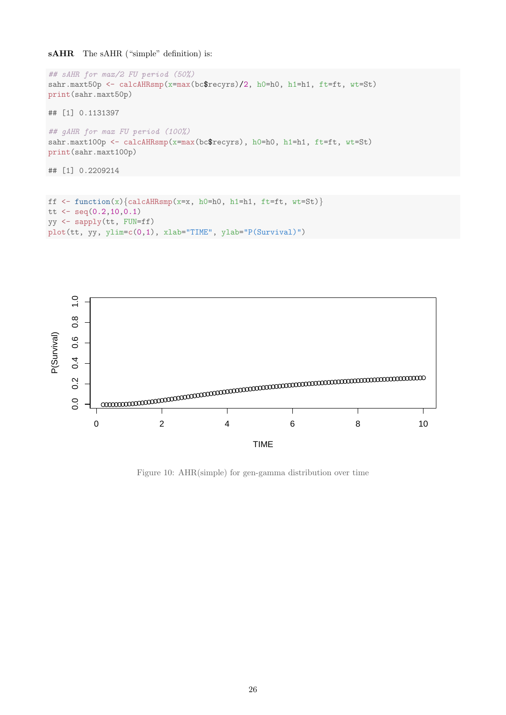sAHR The sAHR ("simple" definition) is:

```
## sAHR for max/2 FU period (50%)
sahr.maxt50p <- calcAHRsmp(x=max(bc$recyrs)/2, h0=h0, h1=h1, ft=ft, wt=St)
print(sahr.maxt50p)
## [1] 0.1131397
## gAHR for max FU period (100%)
sahr.maxt100p <- calcAHRsmp(x=max(bc$recyrs), h0=h0, h1=h1, ft=ft, wt=St)
print(sahr.maxt100p)
## [1] 0.2209214
```

```
ff \leftarrow function(x) {calcAHRsmp(x=x, h0=h0, h1=h1, ft=ft, wt=St)}
tt \leq seq(0.2, 10, 0.1)yy <- sapply(tt, FUN=ff)
plot(tt, yy, ylim=c(0,1), xlab="TIME", ylab="P(Survival)")
```


Figure 10: AHR(simple) for gen-gamma distribution over time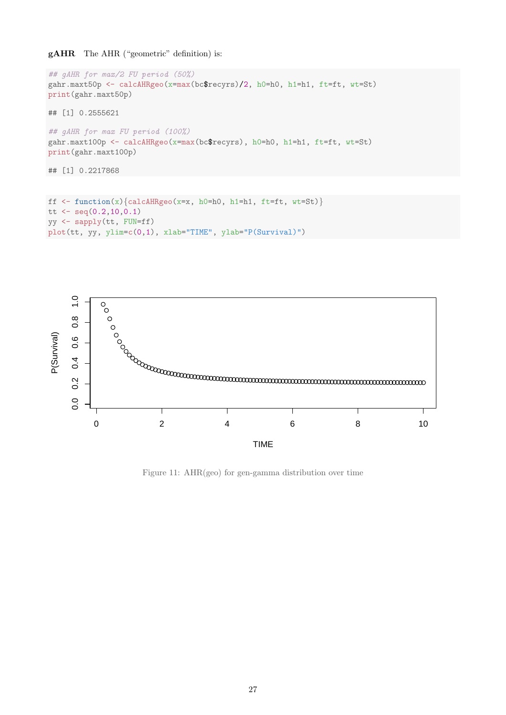### gAHR The AHR ("geometric" definition) is:

```
## gAHR for max/2 FU period (50%)
gahr.maxt50p <- calcAHRgeo(x=max(bc$recyrs)/2, h0=h0, h1=h1, ft=ft, wt=St)
print(gahr.maxt50p)
## [1] 0.2555621
## gAHR for max FU period (100%)
gahr.maxt100p <- calcAHRgeo(x=max(bc$recyrs), h0=h0, h1=h1, ft=ft, wt=St)
print(gahr.maxt100p)
## [1] 0.2217868
```

```
ff \leftarrow function(x) {calcAHRgeo(x=x, h0=h0, h1=h1, ft=ft, wt=St)}
tt \leq seq(0.2, 10, 0.1)yy <- sapply(tt, FUN=ff)
plot(tt, yy, ylim=c(0,1), xlab="TIME", ylab="P(Survival)")
```


Figure 11: AHR(geo) for gen-gamma distribution over time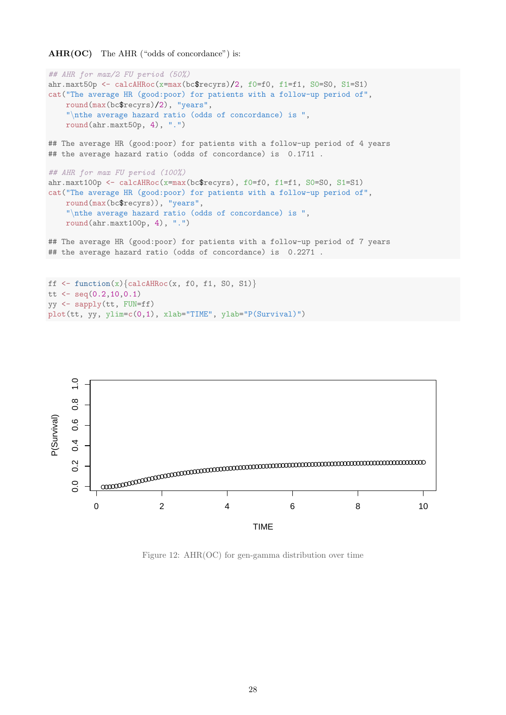AHR(OC) The AHR ("odds of concordance") is:

```
## AHR for max/2 FU period (50%)
ahr.maxt50p <- calcAHRoc(x=max(bc$recyrs)/2, f0=f0, f1=f1, S0=S0, S1=S1)
cat("The average HR (good:poor) for patients with a follow-up period of",
    round(max(bc$recyrs)/2), "years",
    "\nthe average hazard ratio (odds of concordance) is ",
    round(ahr.maxt50p, 4), ".")
## The average HR (good:poor) for patients with a follow-up period of 4 years
## the average hazard ratio (odds of concordance) is 0.1711.
## AHR for max FU period (100%)
ahr.maxt100p <- calcAHRoc(x=max(bc$recyrs), f0=f0, f1=f1, S0=S0, S1=S1)
cat("The average HR (good:poor) for patients with a follow-up period of",
    round(max(bc$recyrs)), "years",
    "\nthe average hazard ratio (odds of concordance) is ",
    round(ahr.maxt100p, 4), ".")
## The average HR (good:poor) for patients with a follow-up period of 7 years
## the average hazard ratio (odds of concordance) is 0.2271.
ff \leftarrow function(x) {calcAHRoc(x, f0, f1, S0, S1) }
```

```
tt \leq seq(0.2, 10, 0.1)yy <- sapply(tt, FUN=ff)
plot(tt, yy, ylim=c(0,1), xlab="TIME", ylab="P(Survival)")
```


Figure 12: AHR(OC) for gen-gamma distribution over time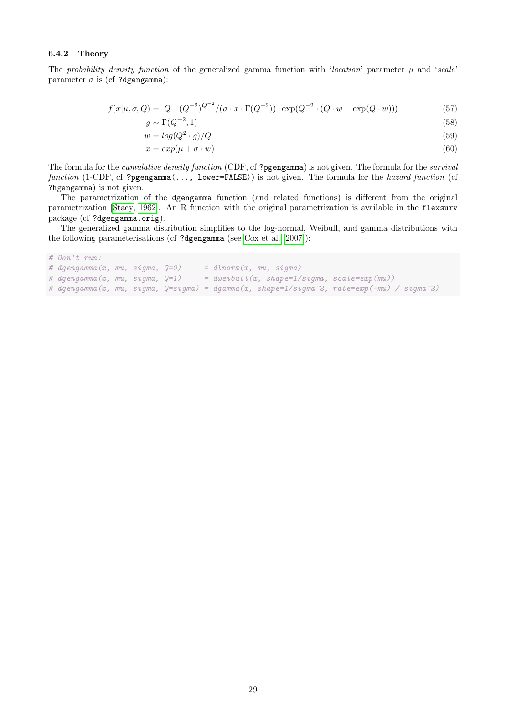#### <span id="page-28-0"></span>6.4.2 Theory

The probability density function of the generalized gamma function with 'location' parameter  $\mu$  and 'scale' parameter  $\sigma$  is (cf ?dgengamma):

$$
f(x|\mu, \sigma, Q) = |Q| \cdot (Q^{-2})^{Q^{-2}} / (\sigma \cdot x \cdot \Gamma(Q^{-2})) \cdot \exp(Q^{-2} \cdot (Q \cdot w - \exp(Q \cdot w)))
$$
\n
$$
g \sim \Gamma(Q^{-2}, 1)
$$
\n(58)

$$
(Q^{-2}, 1) \tag{58}
$$

$$
w = \log(Q^2 \cdot g)/Q \tag{59}
$$

$$
x = exp(\mu + \sigma \cdot w) \tag{60}
$$

The formula for the *cumulative density function* (CDF, cf ?pgengamma) is not given. The formula for the *survival* function (1-CDF, cf ?pgengamma(..., lower=FALSE)) is not given. The formula for the hazard function (cf ?hgengamma) is not given.

The parametrization of the dgengamma function (and related functions) is different from the original parametrization [\[Stacy, 1962\]](#page-29-4). An R function with the original parametrization is available in the flexsurv package (cf ?dgengamma.orig).

The generalized gamma distribution simplifies to the log-normal, Weibull, and gamma distributions with the following parameterisations (cf ?dgengamma (see [Cox et al. \[2007\]](#page-29-5)):

```
# Don't run:
# dgengamma(x, mu, sigma, Q=0) = dlnorm(x, mu, sigma)
# dgengamma(x, mu, sigma, Q=1) = dweibull(x, shape=1/sigma, scale=exp(mu))
# dgengamma(x, mu, sigma, Q=sigma) = dgamma(x, shape=1/sigma^2, rate=exp(-mu) / sigma^2)
```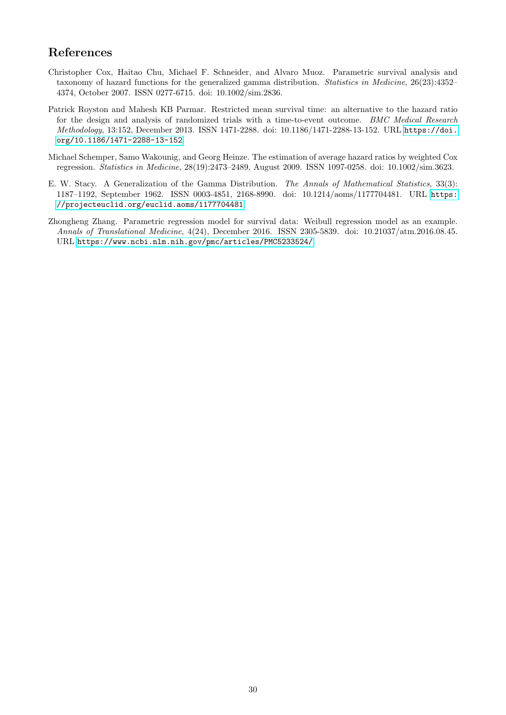# <span id="page-29-0"></span>References

- <span id="page-29-5"></span>Christopher Cox, Haitao Chu, Michael F. Schneider, and Alvaro Muoz. Parametric survival analysis and taxonomy of hazard functions for the generalized gamma distribution. Statistics in Medicine, 26(23):4352– 4374, October 2007. ISSN 0277-6715. doi: 10.1002/sim.2836.
- <span id="page-29-3"></span>Patrick Royston and Mahesh KB Parmar. Restricted mean survival time: an alternative to the hazard ratio for the design and analysis of randomized trials with a time-to-event outcome. BMC Medical Research Methodology, 13:152, December 2013. ISSN 1471-2288. doi: 10.1186/1471-2288-13-152. URL [https://doi.](https://doi.org/10.1186/1471-2288-13-152) [org/10.1186/1471-2288-13-152](https://doi.org/10.1186/1471-2288-13-152).
- <span id="page-29-2"></span>Michael Schemper, Samo Wakounig, and Georg Heinze. The estimation of average hazard ratios by weighted Cox regression. Statistics in Medicine, 28(19):2473–2489, August 2009. ISSN 1097-0258. doi: 10.1002/sim.3623.
- <span id="page-29-4"></span>E. W. Stacy. A Generalization of the Gamma Distribution. The Annals of Mathematical Statistics, 33(3): 1187–1192, September 1962. ISSN 0003-4851, 2168-8990. doi: 10.1214/aoms/1177704481. URL [https:](https://projecteuclid.org/euclid.aoms/1177704481) [//projecteuclid.org/euclid.aoms/1177704481](https://projecteuclid.org/euclid.aoms/1177704481).
- <span id="page-29-1"></span>Zhongheng Zhang. Parametric regression model for survival data: Weibull regression model as an example. Annals of Translational Medicine, 4(24), December 2016. ISSN 2305-5839. doi: 10.21037/atm.2016.08.45. URL <https://www.ncbi.nlm.nih.gov/pmc/articles/PMC5233524/>.